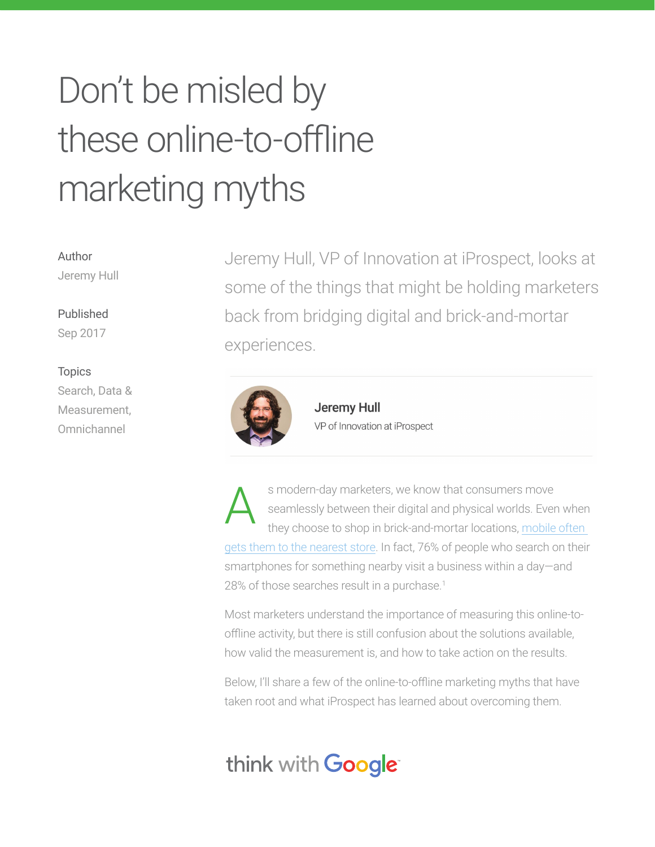# Don't be misled by these online-to-offline marketing myths

Author Jeremy Hull

#### Published

Sep 2017

#### Topics

Search, Data & Measurement, Omnichannel

Jeremy Hull, VP of Innovation at iProspect, looks at some of the things that might be holding marketers back from bridging digital and brick-and-mortar experiences.



**Jeremy Hull** VP of Innovation at iProspect

s modern-day marketers, we know that consumers move seamlessly between their digital and physical worlds. Even when they choose to shop in brick-and-mortar locations, mobile often gets them to the nearest store. In fact, 76% of people who search on their smartphones for something nearby visit a business within a day—and 28% of those searches result in a purchase.<sup>1</sup> A

Most marketers understand the importance of measuring this online-tooffline activity, but there is still confusion about the solutions available, how valid the measurement is, and how to take action on the results.

Below, I'll share a few of the online-to-offline marketing myths that have taken root and what iProspect has learned about overcoming them.

# think with Google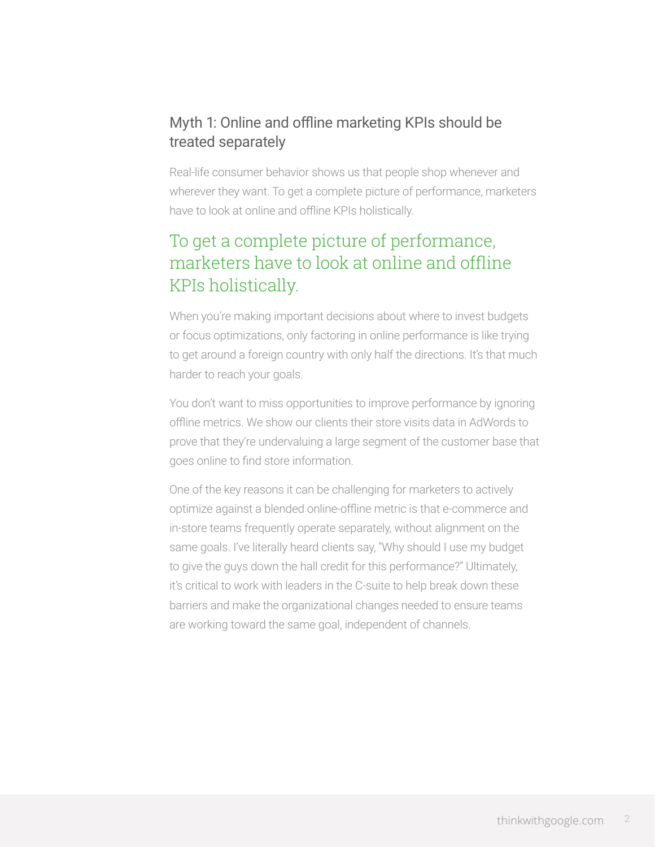### Myth 1: Online and offline marketing KPIs should be treated separately

Real-life consumer behavior shows us that people shop whenever and wherever they want. To get a complete picture of performance, marketers have to look at online and offline KPIs holistically.

# To get a complete picture of performance, marketers have to look at online and offline KPIs holistically.

When you're making important decisions about where to invest budgets or focus optimizations, only factoring in online performance is like trying to get around a foreign country with only half the directions. It's that much harder to reach your goals.

You don't want to miss opportunities to improve performance by ignoring offline metrics. We show our clients their store visits data in AdWords to prove that they're undervaluing a large segment of the customer base that goes online to find store information.

One of the key reasons it can be challenging for marketers to actively optimize against a blended online-offline metric is that e-commerce and in-store teams frequently operate separately, without alignment on the same goals. I've literally heard clients say, "Why should I use my budget to give the guys down the hall credit for this performance?" Ultimately, it's critical to work with leaders in the C-suite to help break down these barriers and make the organizational changes needed to ensure teams are working toward the same goal, independent of channels.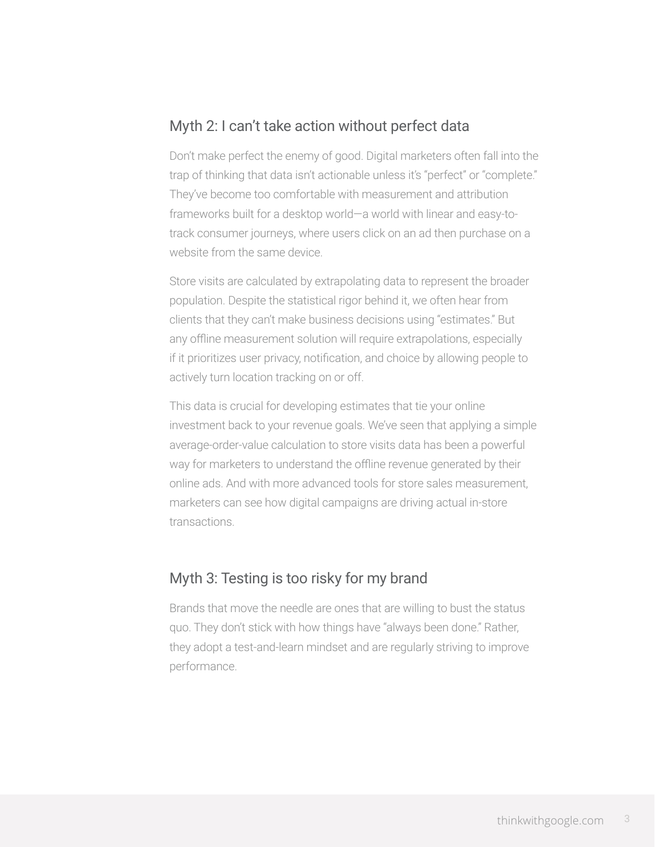#### Myth 2: I can't take action without perfect data

Don't make perfect the enemy of good. Digital marketers often fall into the trap of thinking that data isn't actionable unless it's "perfect" or "complete." They've become too comfortable with measurement and attribution frameworks built for a desktop world—a world with linear and easy-totrack consumer journeys, where users click on an ad then purchase on a website from the same device.

Store visits are calculated by extrapolating data to represent the broader population. Despite the statistical rigor behind it, we often hear from clients that they can't make business decisions using "estimates." But any offline measurement solution will require extrapolations, especially if it prioritizes user privacy, notification, and choice by allowing people to actively turn location tracking on or off.

This data is crucial for developing estimates that tie your online investment back to your revenue goals. We've seen that applying a simple average-order-value calculation to store visits data has been a powerful way for marketers to understand the offline revenue generated by their online ads. And with more advanced tools for store sales measurement, marketers can see how digital campaigns are driving actual in-store transactions.

#### Myth 3: Testing is too risky for my brand

Brands that move the needle are ones that are willing to bust the status quo. They don't stick with how things have "always been done." Rather, they adopt a test-and-learn mindset and are regularly striving to improve performance.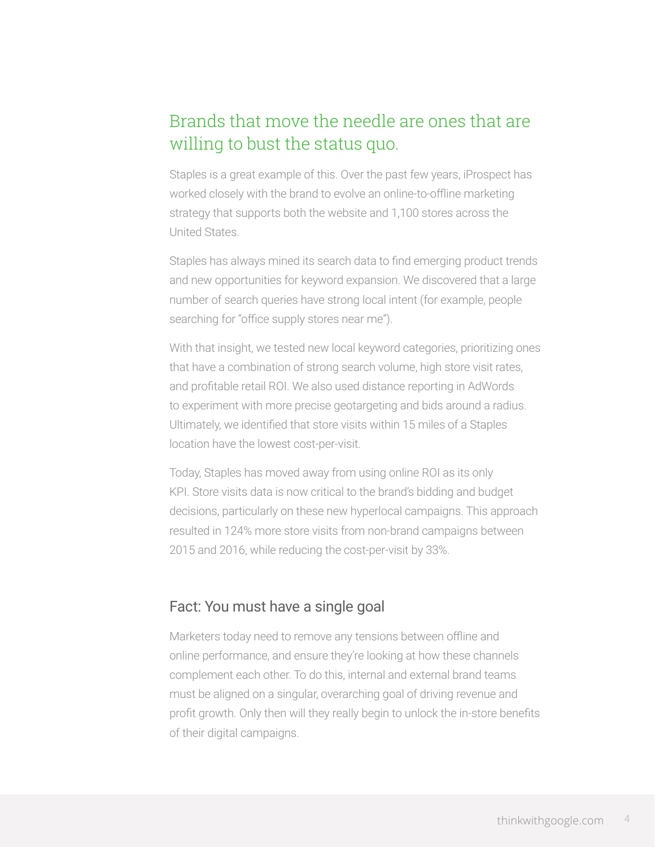# Brands that move the needle are ones that are willing to bust the status quo.

Staples is a great example of this. Over the past few years, iProspect has worked closely with the brand to evolve an online-to-offline marketing strategy that supports both the website and 1,100 stores across the United States.

Staples has always mined its search data to find emerging product trends and new opportunities for keyword expansion. We discovered that a large number of search queries have strong local intent (for example, people searching for "office supply stores near me").

With that insight, we tested new local keyword categories, prioritizing ones that have a combination of strong search volume, high store visit rates, and profitable retail ROI. We also used distance reporting in AdWords to experiment with more precise geotargeting and bids around a radius. Ultimately, we identified that store visits within 15 miles of a Staples location have the lowest cost-per-visit.

Today, Staples has moved away from using online ROI as its only KPI. Store visits data is now critical to the brand's bidding and budget decisions, particularly on these new hyperlocal campaigns. This approach resulted in 124% more store visits from non-brand campaigns between 2015 and 2016, while reducing the cost-per-visit by 33%.

#### Fact: You must have a single goal

Marketers today need to remove any tensions between offline and online performance, and ensure they're looking at how these channels complement each other. To do this, internal and external brand teams must be aligned on a singular, overarching goal of driving revenue and profit growth. Only then will they really begin to unlock the in-store benefits of their digital campaigns.